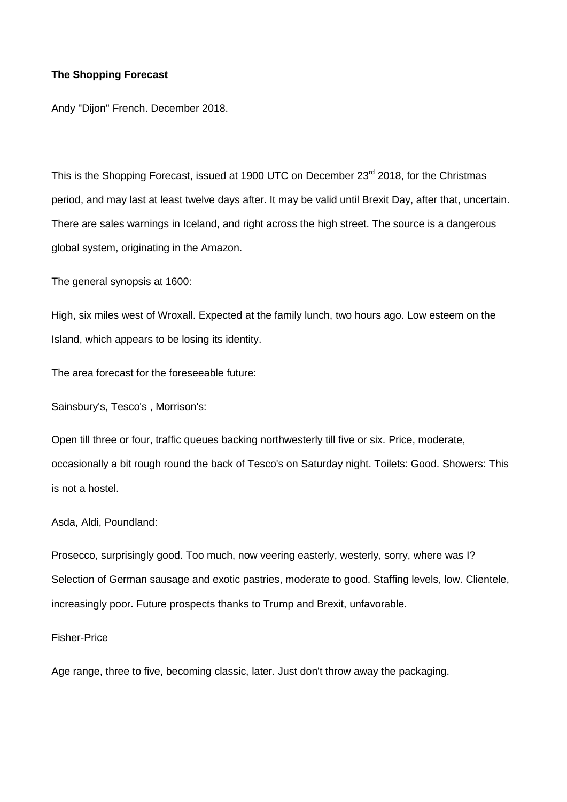## **The Shopping Forecast**

Andy "Dijon" French. December 2018.

This is the Shopping Forecast, issued at 1900 UTC on December 23<sup>rd</sup> 2018, for the Christmas period, and may last at least twelve days after. It may be valid until Brexit Day, after that, uncertain. There are sales warnings in Iceland, and right across the high street. The source is a dangerous global system, originating in the Amazon.

The general synopsis at 1600:

High, six miles west of Wroxall. Expected at the family lunch, two hours ago. Low esteem on the Island, which appears to be losing its identity.

The area forecast for the foreseeable future:

Sainsbury's, Tesco's , Morrison's:

Open till three or four, traffic queues backing northwesterly till five or six. Price, moderate, occasionally a bit rough round the back of Tesco's on Saturday night. Toilets: Good. Showers: This is not a hostel.

Asda, Aldi, Poundland:

Prosecco, surprisingly good. Too much, now veering easterly, westerly, sorry, where was I? Selection of German sausage and exotic pastries, moderate to good. Staffing levels, low. Clientele, increasingly poor. Future prospects thanks to Trump and Brexit, unfavorable.

## Fisher-Price

Age range, three to five, becoming classic, later. Just don't throw away the packaging.